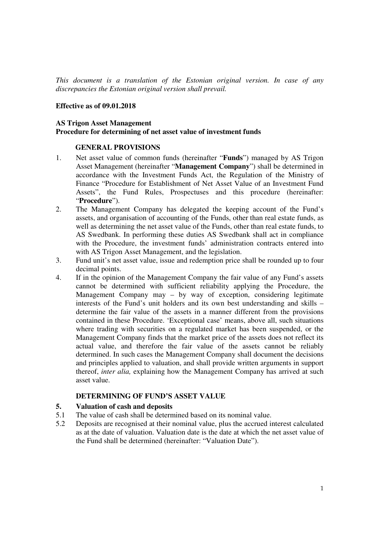*This document is a translation of the Estonian original version. In case of any discrepancies the Estonian original version shall prevail.*

#### **Effective as of 09.01.2018**

### **AS Trigon Asset Management Procedure for determining of net asset value of investment funds**

### **GENERAL PROVISIONS**

- 1. Net asset value of common funds (hereinafter "**Funds**") managed by AS Trigon Asset Management (hereinafter "**Management Company**") shall be determined in accordance with the Investment Funds Act, the Regulation of the Ministry of Finance "Procedure for Establishment of Net Asset Value of an Investment Fund Assets", the Fund Rules, Prospectuses and this procedure (hereinafter: "**Procedure**").
- 2. The Management Company has delegated the keeping account of the Fund's assets, and organisation of accounting of the Funds, other than real estate funds, as well as determining the net asset value of the Funds, other than real estate funds, to AS Swedbank. In performing these duties AS Swedbank shall act in compliance with the Procedure, the investment funds' administration contracts entered into with AS Trigon Asset Management, and the legislation.
- 3. Fund unit's net asset value, issue and redemption price shall be rounded up to four decimal points.
- 4. If in the opinion of the Management Company the fair value of any Fund's assets cannot be determined with sufficient reliability applying the Procedure, the Management Company may – by way of exception, considering legitimate interests of the Fund's unit holders and its own best understanding and skills – determine the fair value of the assets in a manner different from the provisions contained in these Procedure. 'Exceptional case' means, above all, such situations where trading with securities on a regulated market has been suspended, or the Management Company finds that the market price of the assets does not reflect its actual value, and therefore the fair value of the assets cannot be reliably determined. In such cases the Management Company shall document the decisions and principles applied to valuation, and shall provide written arguments in support thereof, *inter alia,* explaining how the Management Company has arrived at such asset value.

### **DETERMINING OF FUND'S ASSET VALUE**

### **5. Valuation of cash and deposits**

- 5.1 The value of cash shall be determined based on its nominal value.
- 5.2 Deposits are recognised at their nominal value, plus the accrued interest calculated as at the date of valuation. Valuation date is the date at which the net asset value of the Fund shall be determined (hereinafter: "Valuation Date").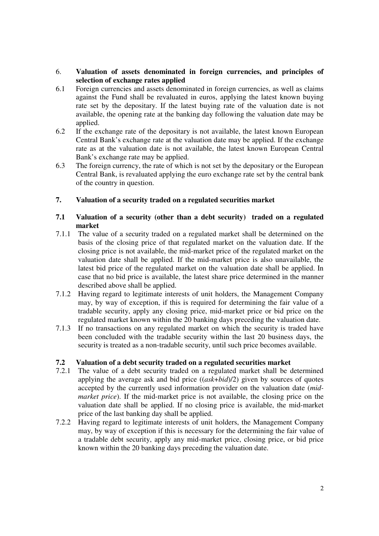### 6. **Valuation of assets denominated in foreign currencies, and principles of selection of exchange rates applied**

- 6.1 Foreign currencies and assets denominated in foreign currencies, as well as claims against the Fund shall be revaluated in euros, applying the latest known buying rate set by the depositary. If the latest buying rate of the valuation date is not available, the opening rate at the banking day following the valuation date may be applied.
- 6.2 If the exchange rate of the depositary is not available, the latest known European Central Bank's exchange rate at the valuation date may be applied. If the exchange rate as at the valuation date is not available, the latest known European Central Bank's exchange rate may be applied.
- 6.3 The foreign currency, the rate of which is not set by the depositary or the European Central Bank, is revaluated applying the euro exchange rate set by the central bank of the country in question.

# **7. Valuation of a security traded on a regulated securities market**

## **7.1 Valuation of a security (other than a debt security) traded on a regulated market**

- 7.1.1 The value of a security traded on a regulated market shall be determined on the basis of the closing price of that regulated market on the valuation date. If the closing price is not available, the mid-market price of the regulated market on the valuation date shall be applied. If the mid-market price is also unavailable, the latest bid price of the regulated market on the valuation date shall be applied. In case that no bid price is available, the latest share price determined in the manner described above shall be applied.
- 7.1.2 Having regard to legitimate interests of unit holders, the Management Company may, by way of exception, if this is required for determining the fair value of a tradable security, apply any closing price, mid-market price or bid price on the regulated market known within the 20 banking days preceding the valuation date.
- 7.1.3 If no transactions on any regulated market on which the security is traded have been concluded with the tradable security within the last 20 business days, the security is treated as a non-tradable security, until such price becomes available.

### **7.2 Valuation of a debt security traded on a regulated securities market**

- 7.2.1 The value of a debt security traded on a regulated market shall be determined applying the average ask and bid price ((*ask*+*bid*)/2) given by sources of quotes accepted by the currently used information provider on the valuation date (*midmarket price*). If the mid-market price is not available, the closing price on the valuation date shall be applied. If no closing price is available, the mid-market price of the last banking day shall be applied.
- 7.2.2 Having regard to legitimate interests of unit holders, the Management Company may, by way of exception if this is necessary for the determining the fair value of a tradable debt security, apply any mid-market price, closing price, or bid price known within the 20 banking days preceding the valuation date.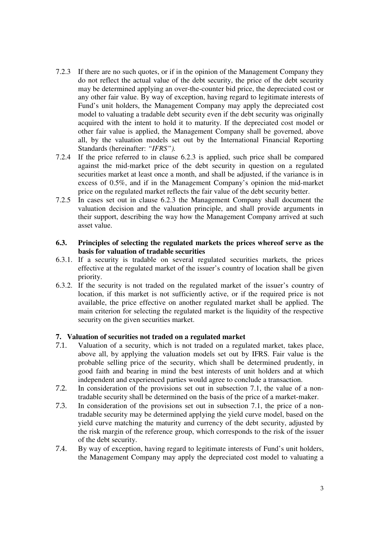- 7.2.3 If there are no such quotes, or if in the opinion of the Management Company they do not reflect the actual value of the debt security, the price of the debt security may be determined applying an over-the-counter bid price, the depreciated cost or any other fair value. By way of exception, having regard to legitimate interests of Fund's unit holders, the Management Company may apply the depreciated cost model to valuating a tradable debt security even if the debt security was originally acquired with the intent to hold it to maturity. If the depreciated cost model or other fair value is applied, the Management Company shall be governed, above all, by the valuation models set out by the International Financial Reporting Standards (hereinafter: *"IFRS").*
- 7.2.4 If the price referred to in clause 6.2.3 is applied, such price shall be compared against the mid-market price of the debt security in question on a regulated securities market at least once a month, and shall be adjusted, if the variance is in excess of 0.5%, and if in the Management Company's opinion the mid-market price on the regulated market reflects the fair value of the debt security better.
- 7.2.5 In cases set out in clause 6.2.3 the Management Company shall document the valuation decision and the valuation principle, and shall provide arguments in their support, describing the way how the Management Company arrived at such asset value.
- **6.3. Principles of selecting the regulated markets the prices whereof serve as the basis for valuation of tradable securities**
- 6.3.1. If a security is tradable on several regulated securities markets, the prices effective at the regulated market of the issuer's country of location shall be given priority.
- 6.3.2. If the security is not traded on the regulated market of the issuer's country of location, if this market is not sufficiently active, or if the required price is not available, the price effective on another regulated market shall be applied. The main criterion for selecting the regulated market is the liquidity of the respective security on the given securities market.

### **7. Valuation of securities not traded on a regulated market**

- 7.1. Valuation of a security, which is not traded on a regulated market, takes place, above all, by applying the valuation models set out by IFRS. Fair value is the probable selling price of the security, which shall be determined prudently, in good faith and bearing in mind the best interests of unit holders and at which independent and experienced parties would agree to conclude a transaction.
- 7.2. In consideration of the provisions set out in subsection 7.1, the value of a nontradable security shall be determined on the basis of the price of a market-maker.
- 7.3. In consideration of the provisions set out in subsection 7.1, the price of a nontradable security may be determined applying the yield curve model, based on the yield curve matching the maturity and currency of the debt security, adjusted by the risk margin of the reference group, which corresponds to the risk of the issuer of the debt security.
- 7.4. By way of exception, having regard to legitimate interests of Fund's unit holders, the Management Company may apply the depreciated cost model to valuating a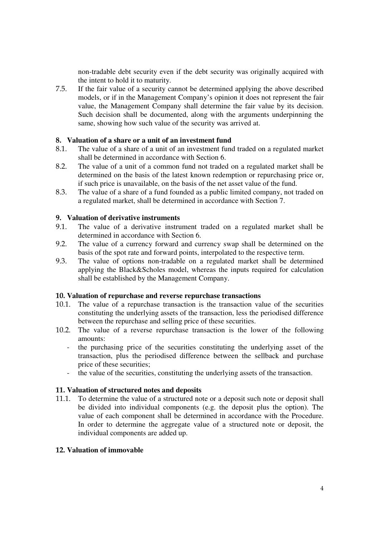non-tradable debt security even if the debt security was originally acquired with the intent to hold it to maturity.

7.5. If the fair value of a security cannot be determined applying the above described models, or if in the Management Company's opinion it does not represent the fair value, the Management Company shall determine the fair value by its decision. Such decision shall be documented, along with the arguments underpinning the same, showing how such value of the security was arrived at.

### 8. **Valuation of a share or a unit of an investment fund**

- 8.1. The value of a share of a unit of an investment fund traded on a regulated market shall be determined in accordance with Section 6.
- 8.2. The value of a unit of a common fund not traded on a regulated market shall be determined on the basis of the latest known redemption or repurchasing price or, if such price is unavailable, on the basis of the net asset value of the fund.
- 8.3. The value of a share of a fund founded as a public limited company, not traded on a regulated market, shall be determined in accordance with Section 7.

#### 9. **Valuation of derivative instruments**

- 9.1. The value of a derivative instrument traded on a regulated market shall be determined in accordance with Section 6.
- 9.2. The value of a currency forward and currency swap shall be determined on the basis of the spot rate and forward points, interpolated to the respective term.
- 9.3. The value of options non-tradable on a regulated market shall be determined applying the Black&Scholes model, whereas the inputs required for calculation shall be established by the Management Company.

### 10. **Valuation of repurchase and reverse repurchase transactions**

- 10.1. The value of a repurchase transaction is the transaction value of the securities constituting the underlying assets of the transaction, less the periodised difference between the repurchase and selling price of these securities.
- 10.2. The value of a reverse repurchase transaction is the lower of the following amounts:
	- the purchasing price of the securities constituting the underlying asset of the transaction, plus the periodised difference between the sellback and purchase price of these securities;
	- the value of the securities, constituting the underlying assets of the transaction.

#### 11. **Valuation of structured notes and deposits**

11.1. To determine the value of a structured note or a deposit such note or deposit shall be divided into individual components (e.g. the deposit plus the option). The value of each component shall be determined in accordance with the Procedure. In order to determine the aggregate value of a structured note or deposit, the individual components are added up.

### 12. **Valuation of immovable**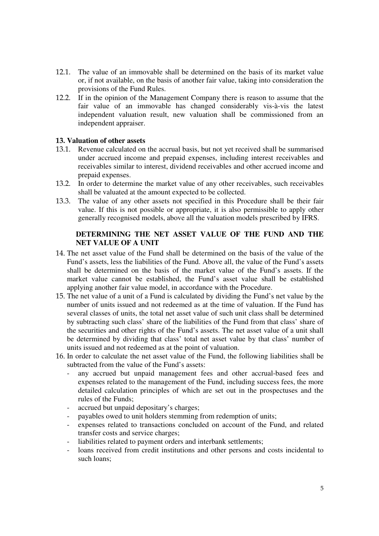- 12.1. The value of an immovable shall be determined on the basis of its market value or, if not available, on the basis of another fair value, taking into consideration the provisions of the Fund Rules.
- 12.2. If in the opinion of the Management Company there is reason to assume that the fair value of an immovable has changed considerably vis-à-vis the latest independent valuation result, new valuation shall be commissioned from an independent appraiser.

#### 13. **Valuation of other assets**

- 13.1. Revenue calculated on the accrual basis, but not yet received shall be summarised under accrued income and prepaid expenses, including interest receivables and receivables similar to interest, dividend receivables and other accrued income and prepaid expenses.
- 13.2. In order to determine the market value of any other receivables, such receivables shall be valuated at the amount expected to be collected.
- 13.3. The value of any other assets not specified in this Procedure shall be their fair value. If this is not possible or appropriate, it is also permissible to apply other generally recognised models, above all the valuation models prescribed by IFRS.

### **DETERMINING THE NET ASSET VALUE OF THE FUND AND THE NET VALUE OF A UNIT**

- 14. The net asset value of the Fund shall be determined on the basis of the value of the Fund's assets, less the liabilities of the Fund. Above all, the value of the Fund's assets shall be determined on the basis of the market value of the Fund's assets. If the market value cannot be established, the Fund's asset value shall be established applying another fair value model, in accordance with the Procedure.
- 15. The net value of a unit of a Fund is calculated by dividing the Fund's net value by the number of units issued and not redeemed as at the time of valuation. If the Fund has several classes of units, the total net asset value of such unit class shall be determined by subtracting such class' share of the liabilities of the Fund from that class' share of the securities and other rights of the Fund's assets. The net asset value of a unit shall be determined by dividing that class' total net asset value by that class' number of units issued and not redeemed as at the point of valuation.
- 16. In order to calculate the net asset value of the Fund, the following liabilities shall be subtracted from the value of the Fund's assets:
	- any accrued but unpaid management fees and other accrual-based fees and expenses related to the management of the Fund, including success fees, the more detailed calculation principles of which are set out in the prospectuses and the rules of the Funds;
	- accrued but unpaid depositary's charges;
	- payables owed to unit holders stemming from redemption of units;
	- expenses related to transactions concluded on account of the Fund, and related transfer costs and service charges;
	- liabilities related to payment orders and interbank settlements;
	- loans received from credit institutions and other persons and costs incidental to such loans;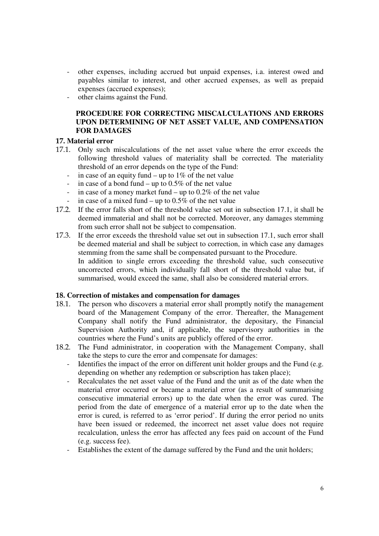- other expenses, including accrued but unpaid expenses, i.a. interest owed and payables similar to interest, and other accrued expenses, as well as prepaid expenses (accrued expenses);
- other claims against the Fund.

# **PROCEDURE FOR CORRECTING MISCALCULATIONS AND ERRORS UPON DETERMINING OF NET ASSET VALUE, AND COMPENSATION FOR DAMAGES**

# 17. **Material error**

- 17.1. Only such miscalculations of the net asset value where the error exceeds the following threshold values of materiality shall be corrected. The materiality threshold of an error depends on the type of the Fund:
	- in case of an equity fund up to  $1\%$  of the net value
	- in case of a bond fund up to  $0.5\%$  of the net value
	- in case of a money market fund up to 0.2% of the net value
	- in case of a mixed fund up to  $0.5\%$  of the net value
- 17.2. If the error falls short of the threshold value set out in subsection 17.1, it shall be deemed immaterial and shall not be corrected. Moreover, any damages stemming from such error shall not be subject to compensation.
- 17.3. If the error exceeds the threshold value set out in subsection 17.1, such error shall be deemed material and shall be subject to correction, in which case any damages stemming from the same shall be compensated pursuant to the Procedure. In addition to single errors exceeding the threshold value, such consecutive uncorrected errors, which individually fall short of the threshold value but, if summarised, would exceed the same, shall also be considered material errors.

### 18. **Correction of mistakes and compensation for damages**

- 18.1. The person who discovers a material error shall promptly notify the management board of the Management Company of the error. Thereafter, the Management Company shall notify the Fund administrator, the depositary, the Financial Supervision Authority and, if applicable, the supervisory authorities in the countries where the Fund's units are publicly offered of the error.
- 18.2. The Fund administrator, in cooperation with the Management Company, shall take the steps to cure the error and compensate for damages:
	- Identifies the impact of the error on different unit holder groups and the Fund (e.g. depending on whether any redemption or subscription has taken place);
	- Recalculates the net asset value of the Fund and the unit as of the date when the material error occurred or became a material error (as a result of summarising consecutive immaterial errors) up to the date when the error was cured. The period from the date of emergence of a material error up to the date when the error is cured, is referred to as 'error period'. If during the error period no units have been issued or redeemed, the incorrect net asset value does not require recalculation, unless the error has affected any fees paid on account of the Fund (e.g. success fee).
	- Establishes the extent of the damage suffered by the Fund and the unit holders;